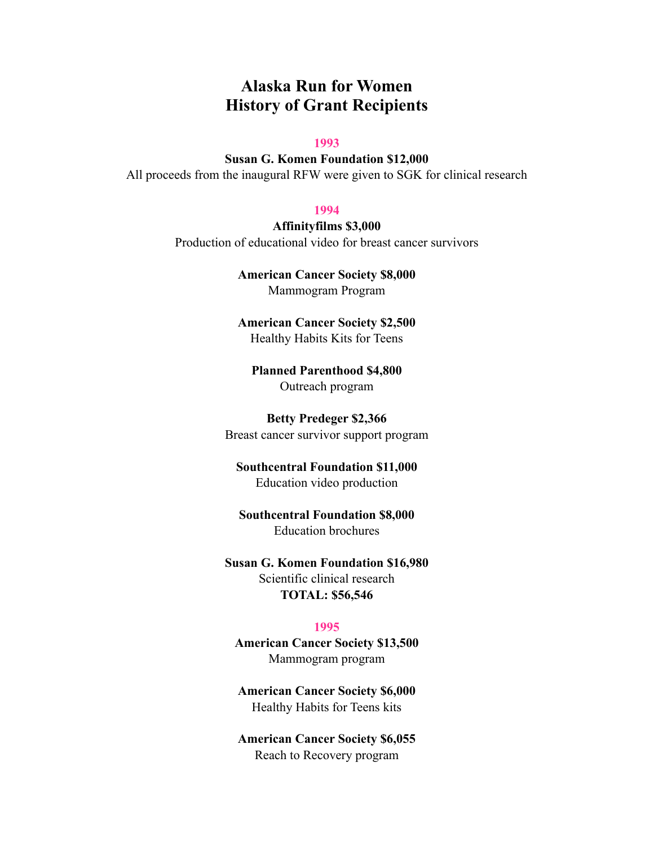# **Alaska Run for Women History of Grant Recipients**

#### **1993**

**Susan G. Komen Foundation \$12,000**  All proceeds from the inaugural RFW were given to SGK for clinical research

#### **1994**

**Affinityfilms \$3,000**  Production of educational video for breast cancer survivors

> **American Cancer Society \$8,000**  Mammogram Program

> **American Cancer Society \$2,500**  Healthy Habits Kits for Teens

**Planned Parenthood \$4,800**  Outreach program

**Betty Predeger \$2,366**  Breast cancer survivor support program

**Southcentral Foundation \$11,000**  Education video production

**Southcentral Foundation \$8,000**  Education brochures

**Susan G. Komen Foundation \$16,980**  Scientific clinical research **TOTAL: \$56,546** 

#### **1995**

**American Cancer Society \$13,500**  Mammogram program

**American Cancer Society \$6,000**  Healthy Habits for Teens kits

**American Cancer Society \$6,055**  Reach to Recovery program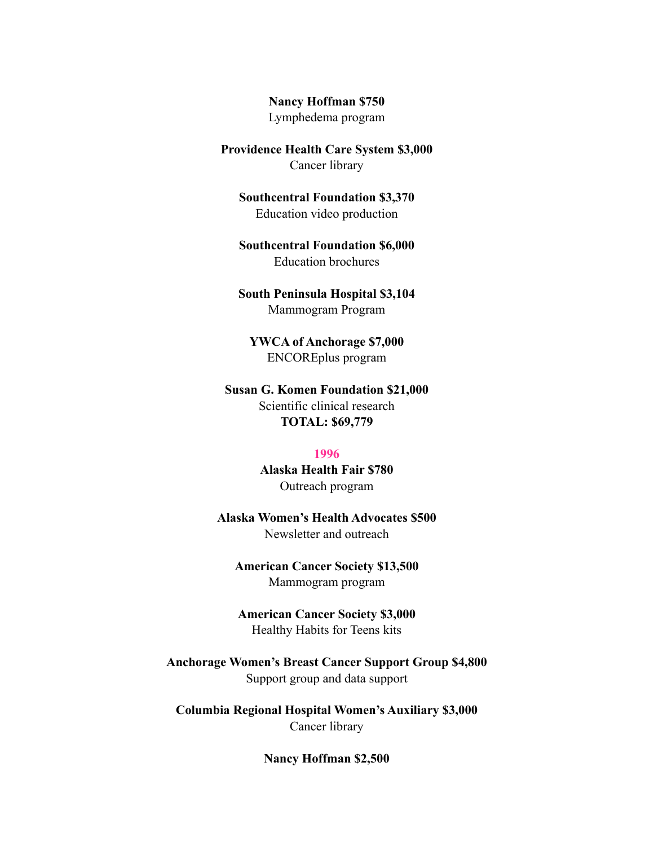**Nancy Hoffman \$750** 

Lymphedema program

**Providence Health Care System \$3,000**  Cancer library

**Southcentral Foundation \$3,370**  Education video production

**Southcentral Foundation \$6,000**  Education brochures

**South Peninsula Hospital \$3,104**  Mammogram Program

**YWCA of Anchorage \$7,000**  ENCOREplus program

**Susan G. Komen Foundation \$21,000**  Scientific clinical research **TOTAL: \$69,779** 

#### **1996**

**Alaska Health Fair \$780**  Outreach program

**Alaska Women's Health Advocates \$500**  Newsletter and outreach

**American Cancer Society \$13,500**  Mammogram program

**American Cancer Society \$3,000**  Healthy Habits for Teens kits

**Anchorage Women's Breast Cancer Support Group \$4,800**  Support group and data support

**Columbia Regional Hospital Women's Auxiliary \$3,000**  Cancer library

**Nancy Hoffman \$2,500**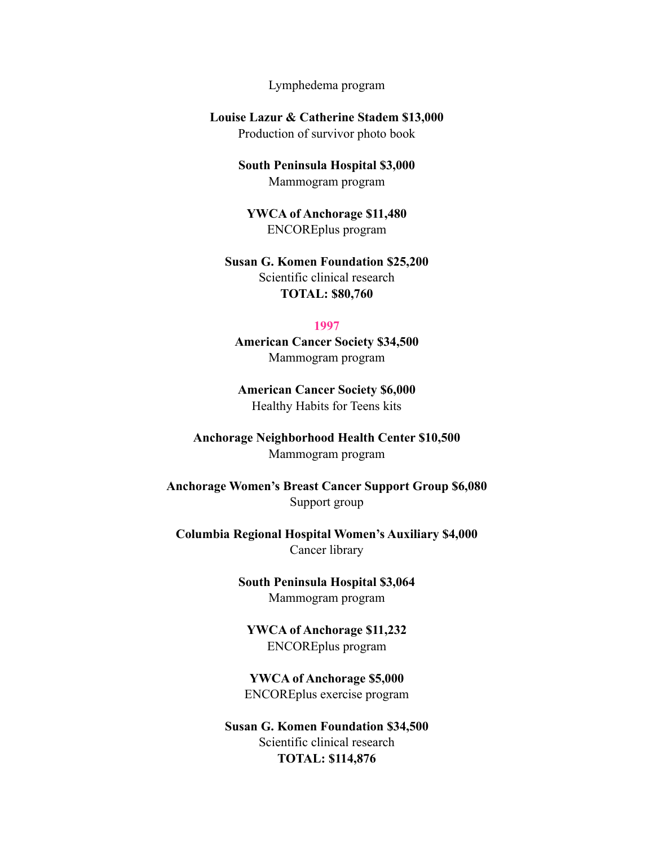Lymphedema program

**Louise Lazur & Catherine Stadem \$13,000**  Production of survivor photo book

> **South Peninsula Hospital \$3,000**  Mammogram program

**YWCA of Anchorage \$11,480**  ENCOREplus program

**Susan G. Komen Foundation \$25,200**  Scientific clinical research **TOTAL: \$80,760** 

#### **1997**

**American Cancer Society \$34,500**  Mammogram program

**American Cancer Society \$6,000**  Healthy Habits for Teens kits

**Anchorage Neighborhood Health Center \$10,500**  Mammogram program

**Anchorage Women's Breast Cancer Support Group \$6,080**  Support group

**Columbia Regional Hospital Women's Auxiliary \$4,000**  Cancer library

> **South Peninsula Hospital \$3,064**  Mammogram program

**YWCA of Anchorage \$11,232**  ENCOREplus program

**YWCA of Anchorage \$5,000**  ENCOREplus exercise program

**Susan G. Komen Foundation \$34,500**  Scientific clinical research **TOTAL: \$114,876**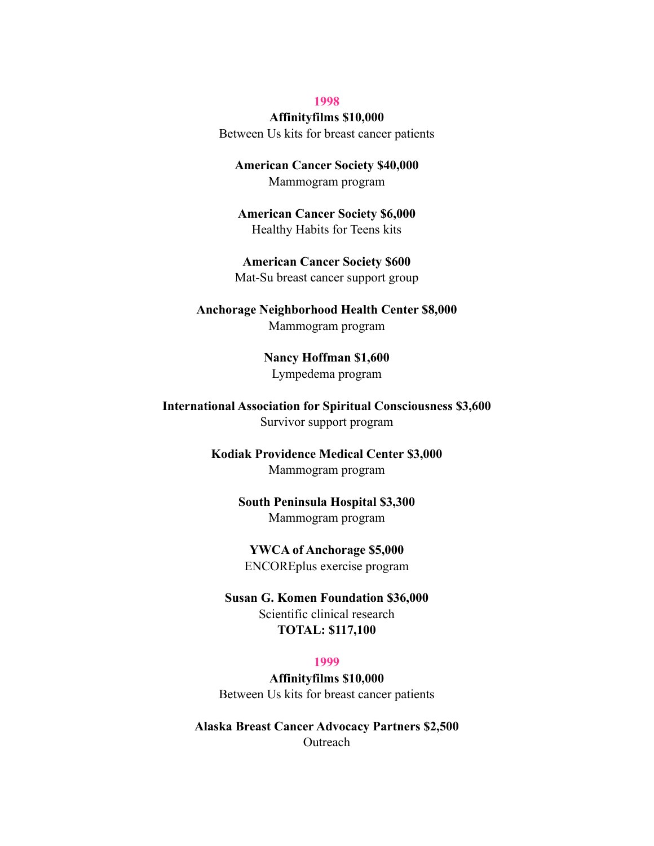#### **1998**

#### **Affinityfilms \$10,000**

Between Us kits for breast cancer patients

**American Cancer Society \$40,000**  Mammogram program

**American Cancer Society \$6,000**  Healthy Habits for Teens kits

**American Cancer Society \$600**  Mat-Su breast cancer support group

**Anchorage Neighborhood Health Center \$8,000**  Mammogram program

> **Nancy Hoffman \$1,600**  Lympedema program

**International Association for Spiritual Consciousness \$3,600**  Survivor support program

> **Kodiak Providence Medical Center \$3,000**  Mammogram program

> > **South Peninsula Hospital \$3,300**  Mammogram program

**YWCA of Anchorage \$5,000**  ENCOREplus exercise program

**Susan G. Komen Foundation \$36,000**  Scientific clinical research **TOTAL: \$117,100** 

#### **1999**

**Affinityfilms \$10,000**  Between Us kits for breast cancer patients

**Alaska Breast Cancer Advocacy Partners \$2,500 Outreach**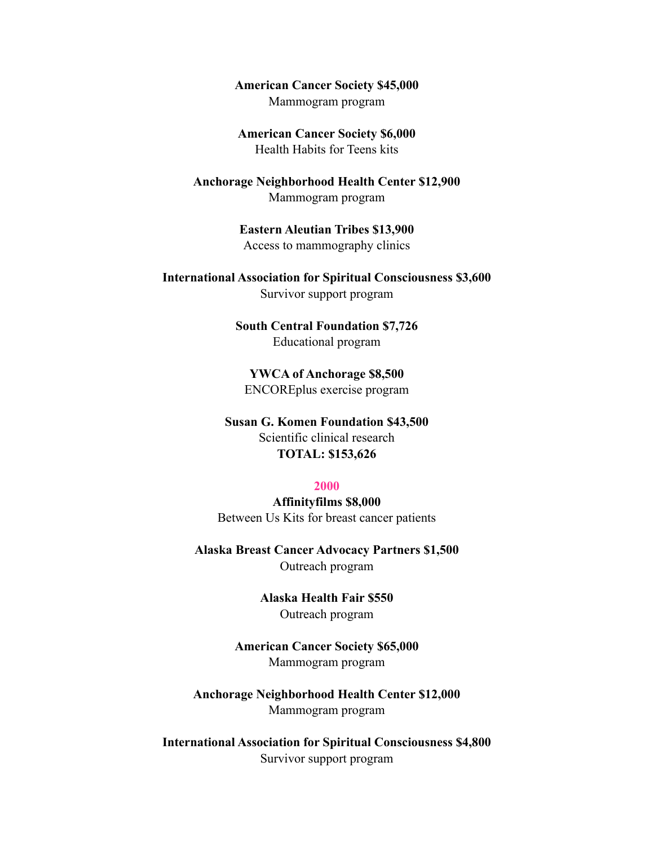**American Cancer Society \$45,000**  Mammogram program

**American Cancer Society \$6,000**  Health Habits for Teens kits

**Anchorage Neighborhood Health Center \$12,900**  Mammogram program

> **Eastern Aleutian Tribes \$13,900**  Access to mammography clinics

**International Association for Spiritual Consciousness \$3,600**  Survivor support program

> **South Central Foundation \$7,726**  Educational program

**YWCA of Anchorage \$8,500**  ENCOREplus exercise program

**Susan G. Komen Foundation \$43,500**  Scientific clinical research **TOTAL: \$153,626** 

#### **2000**

**Affinityfilms \$8,000**  Between Us Kits for breast cancer patients

**Alaska Breast Cancer Advocacy Partners \$1,500**  Outreach program

> **Alaska Health Fair \$550**  Outreach program

**American Cancer Society \$65,000**  Mammogram program

**Anchorage Neighborhood Health Center \$12,000**  Mammogram program

**International Association for Spiritual Consciousness \$4,800**  Survivor support program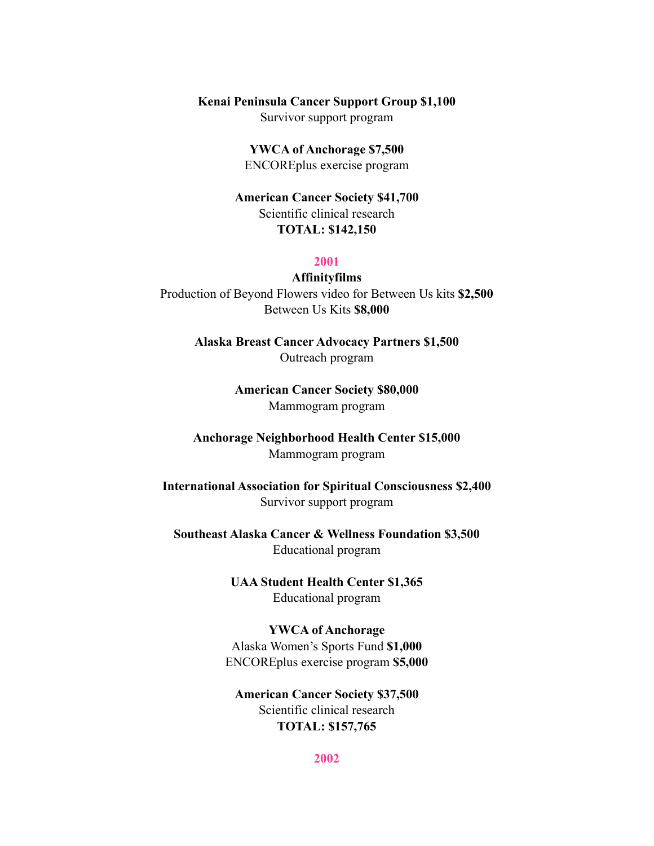#### **Kenai Peninsula Cancer Support Group \$1,100**

Survivor support program

**YWCA of Anchorage \$7,500**  ENCOREplus exercise program

**American Cancer Society \$41,700**  Scientific clinical research **TOTAL: \$142,150** 

#### **2001**

**Affinityfilms**  Production of Beyond Flowers video for Between Us kits **\$2,500**  Between Us Kits **\$8,000** 

> **Alaska Breast Cancer Advocacy Partners \$1,500**  Outreach program

> > **American Cancer Society \$80,000**  Mammogram program

**Anchorage Neighborhood Health Center \$15,000**  Mammogram program

**International Association for Spiritual Consciousness \$2,400**  Survivor support program

**Southeast Alaska Cancer & Wellness Foundation \$3,500**  Educational program

> **UAA Student Health Center \$1,365**  Educational program

**YWCA of Anchorage**  Alaska Women's Sports Fund **\$1,000**  ENCOREplus exercise program **\$5,000** 

**American Cancer Society \$37,500**  Scientific clinical research **TOTAL: \$157,765** 

**2002**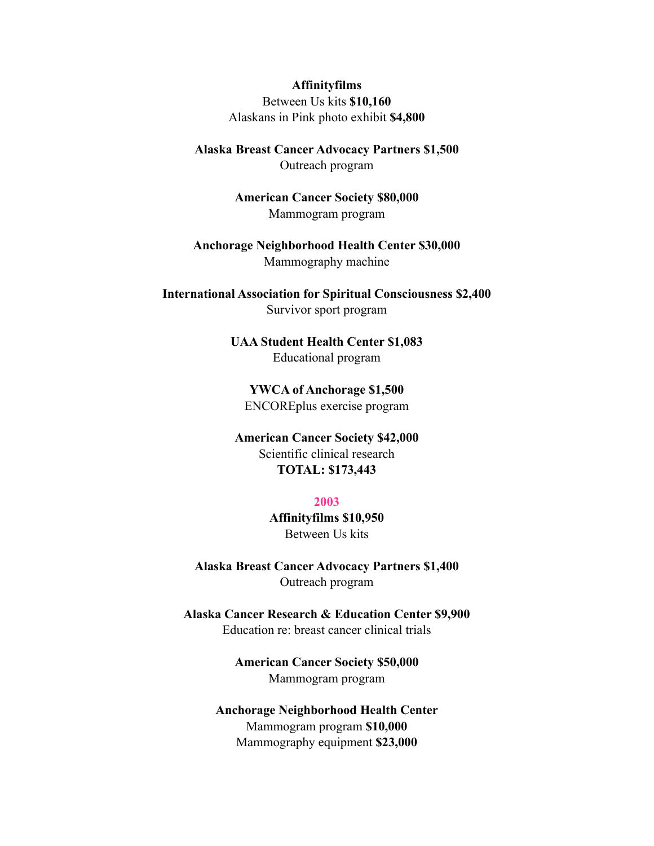#### **Affinityfilms**

Between Us kits **\$10,160**  Alaskans in Pink photo exhibit **\$4,800** 

**Alaska Breast Cancer Advocacy Partners \$1,500**  Outreach program

> **American Cancer Society \$80,000**  Mammogram program

**Anchorage Neighborhood Health Center \$30,000**  Mammography machine

**International Association for Spiritual Consciousness \$2,400**  Survivor sport program

> **UAA Student Health Center \$1,083**  Educational program

**YWCA of Anchorage \$1,500**  ENCOREplus exercise program

**American Cancer Society \$42,000**  Scientific clinical research **TOTAL: \$173,443** 

#### **2003**

**Affinityfilms \$10,950**  Between Us kits

**Alaska Breast Cancer Advocacy Partners \$1,400**  Outreach program

**Alaska Cancer Research & Education Center \$9,900**  Education re: breast cancer clinical trials

> **American Cancer Society \$50,000**  Mammogram program

**Anchorage Neighborhood Health Center**  Mammogram program **\$10,000**  Mammography equipment **\$23,000**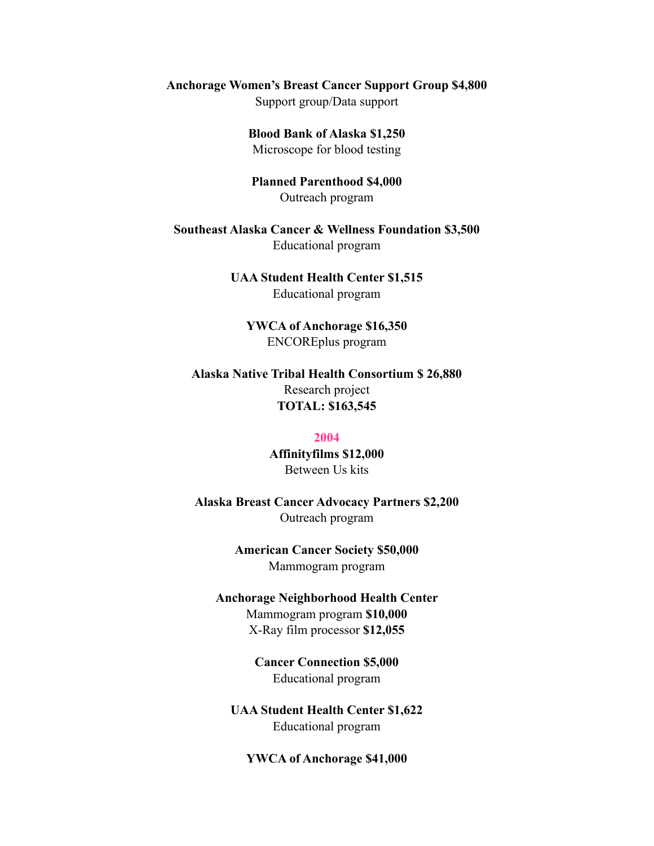# **Anchorage Women's Breast Cancer Support Group \$4,800**

Support group/Data support

**Blood Bank of Alaska \$1,250**  Microscope for blood testing

**Planned Parenthood \$4,000**  Outreach program

**Southeast Alaska Cancer & Wellness Foundation \$3,500**  Educational program

> **UAA Student Health Center \$1,515**  Educational program

**YWCA of Anchorage \$16,350**  ENCOREplus program

**Alaska Native Tribal Health Consortium \$ 26,880**  Research project **TOTAL: \$163,545** 

#### **2004**

**Affinityfilms \$12,000**  Between Us kits

**Alaska Breast Cancer Advocacy Partners \$2,200**  Outreach program

> **American Cancer Society \$50,000**  Mammogram program

**Anchorage Neighborhood Health Center** 

Mammogram program **\$10,000**  X-Ray film processor **\$12,055** 

**Cancer Connection \$5,000**  Educational program

**UAA Student Health Center \$1,622**  Educational program

**YWCA of Anchorage \$41,000**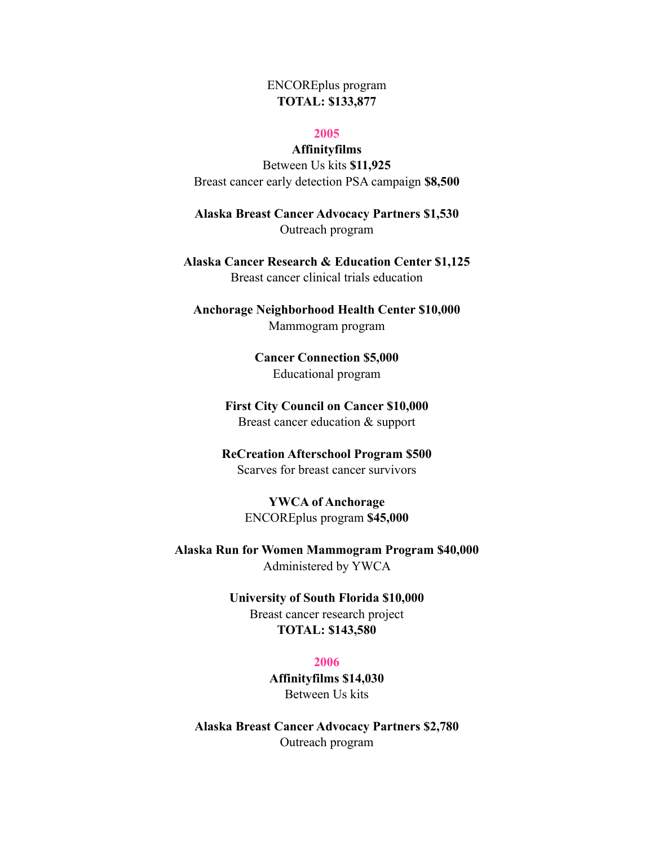# ENCOREplus program **TOTAL: \$133,877**

#### **2005**

#### **Affinityfilms**

Between Us kits **\$11,925**  Breast cancer early detection PSA campaign **\$8,500** 

**Alaska Breast Cancer Advocacy Partners \$1,530**  Outreach program

**Alaska Cancer Research & Education Center \$1,125**  Breast cancer clinical trials education

**Anchorage Neighborhood Health Center \$10,000**  Mammogram program

> **Cancer Connection \$5,000**  Educational program

**First City Council on Cancer \$10,000**  Breast cancer education & support

**ReCreation Afterschool Program \$500**  Scarves for breast cancer survivors

> **YWCA of Anchorage**  ENCOREplus program **\$45,000**

**Alaska Run for Women Mammogram Program \$40,000**  Administered by YWCA

> **University of South Florida \$10,000**  Breast cancer research project **TOTAL: \$143,580**

#### **2006**

**Affinityfilms \$14,030**  Between Us kits

**Alaska Breast Cancer Advocacy Partners \$2,780**  Outreach program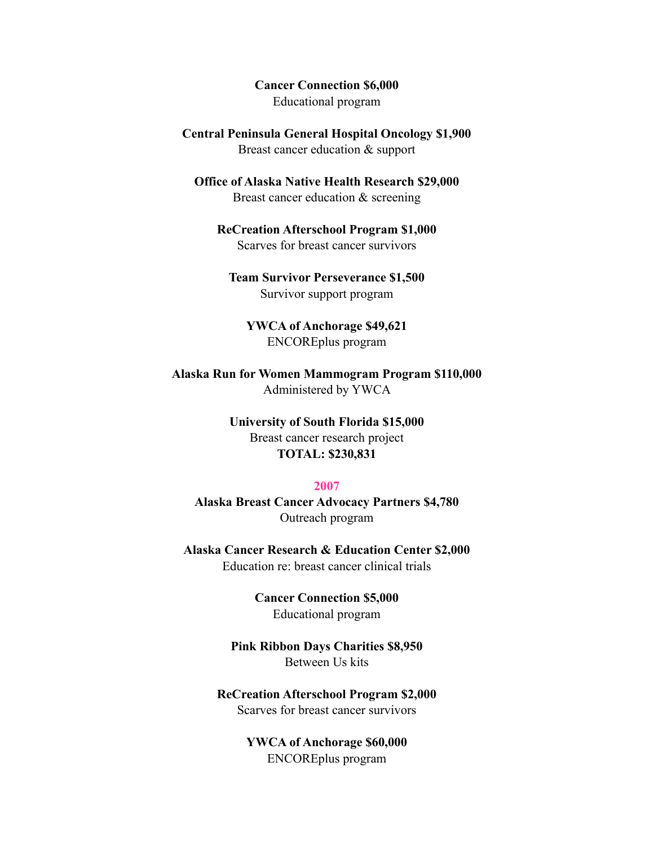**Cancer Connection \$6,000**  Educational program

**Central Peninsula General Hospital Oncology \$1,900**  Breast cancer education & support

**Office of Alaska Native Health Research \$29,000**  Breast cancer education & screening

**ReCreation Afterschool Program \$1,000**  Scarves for breast cancer survivors

**Team Survivor Perseverance \$1,500**  Survivor support program

**YWCA of Anchorage \$49,621**  ENCOREplus program

**Alaska Run for Women Mammogram Program \$110,000**  Administered by YWCA

> **University of South Florida \$15,000**  Breast cancer research project **TOTAL: \$230,831**

#### **2007**

**Alaska Breast Cancer Advocacy Partners \$4,780**  Outreach program

**Alaska Cancer Research & Education Center \$2,000**  Education re: breast cancer clinical trials

> **Cancer Connection \$5,000**  Educational program

**Pink Ribbon Days Charities \$8,950**  Between Us kits

**ReCreation Afterschool Program \$2,000**  Scarves for breast cancer survivors

> **YWCA of Anchorage \$60,000**  ENCOREplus program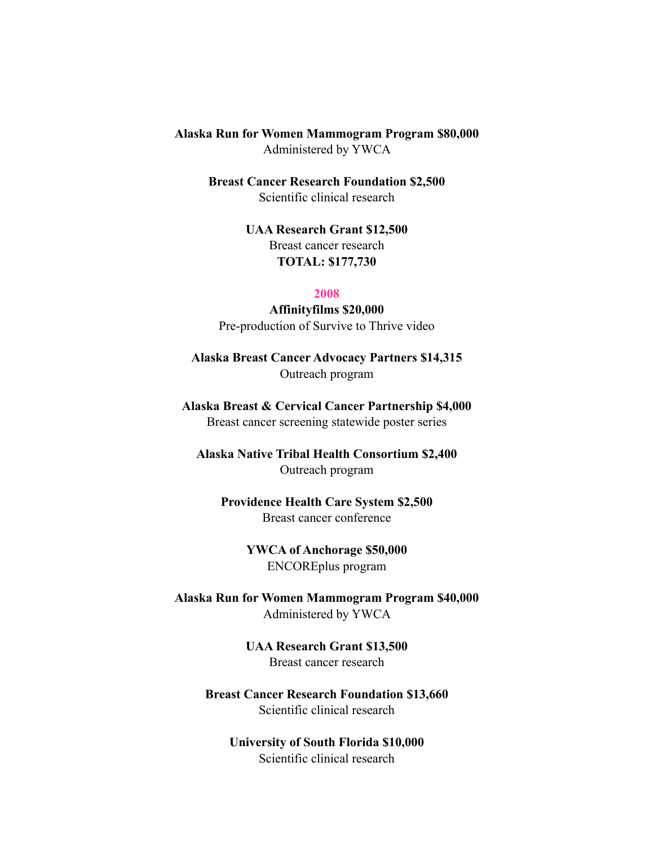**Alaska Run for Women Mammogram Program \$80,000**  Administered by YWCA

> **Breast Cancer Research Foundation \$2,500**  Scientific clinical research

> > **UAA Research Grant \$12,500**  Breast cancer research **TOTAL: \$177,730**

#### **2008**

**Affinityfilms \$20,000**  Pre-production of Survive to Thrive video

**Alaska Breast Cancer Advocacy Partners \$14,315**  Outreach program

**Alaska Breast & Cervical Cancer Partnership \$4,000**  Breast cancer screening statewide poster series

**Alaska Native Tribal Health Consortium \$2,400**  Outreach program

**Providence Health Care System \$2,500**  Breast cancer conference

> **YWCA of Anchorage \$50,000**  ENCOREplus program

**Alaska Run for Women Mammogram Program \$40,000**  Administered by YWCA

> **UAA Research Grant \$13,500**  Breast cancer research

**Breast Cancer Research Foundation \$13,660**  Scientific clinical research

**University of South Florida \$10,000**  Scientific clinical research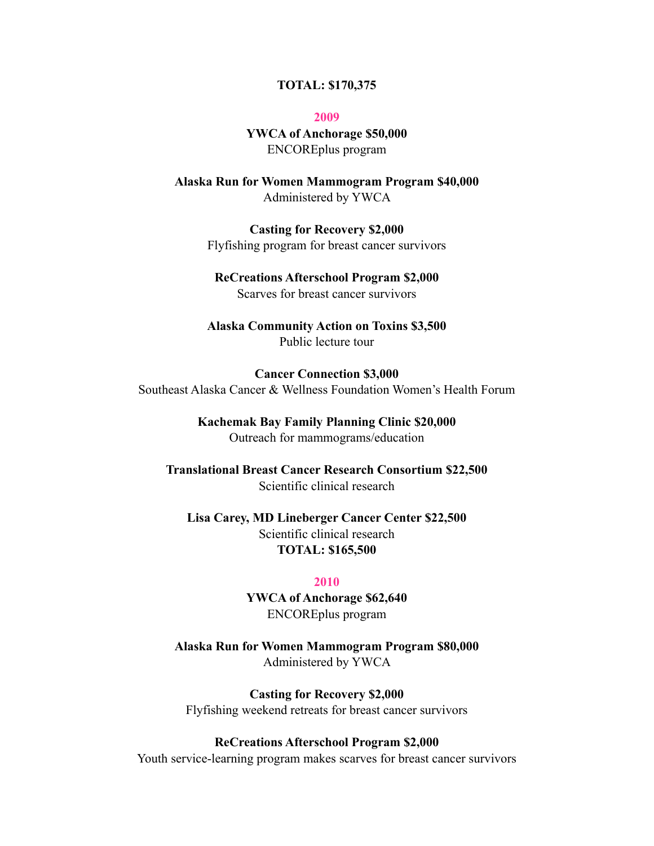#### **TOTAL: \$170,375**

**2009** 

**YWCA of Anchorage \$50,000**  ENCOREplus program

**Alaska Run for Women Mammogram Program \$40,000**  Administered by YWCA

> **Casting for Recovery \$2,000**  Flyfishing program for breast cancer survivors

# **ReCreations Afterschool Program \$2,000**

Scarves for breast cancer survivors

# **Alaska Community Action on Toxins \$3,500**  Public lecture tour

**Cancer Connection \$3,000**  Southeast Alaska Cancer & Wellness Foundation Women's Health Forum

# **Kachemak Bay Family Planning Clinic \$20,000**

Outreach for mammograms/education

**Translational Breast Cancer Research Consortium \$22,500**  Scientific clinical research

**Lisa Carey, MD Lineberger Cancer Center \$22,500**  Scientific clinical research **TOTAL: \$165,500** 

# **2010**

**YWCA of Anchorage \$62,640**  ENCOREplus program

**Alaska Run for Women Mammogram Program \$80,000**  Administered by YWCA

**Casting for Recovery \$2,000**  Flyfishing weekend retreats for breast cancer survivors

#### **ReCreations Afterschool Program \$2,000**

Youth service-learning program makes scarves for breast cancer survivors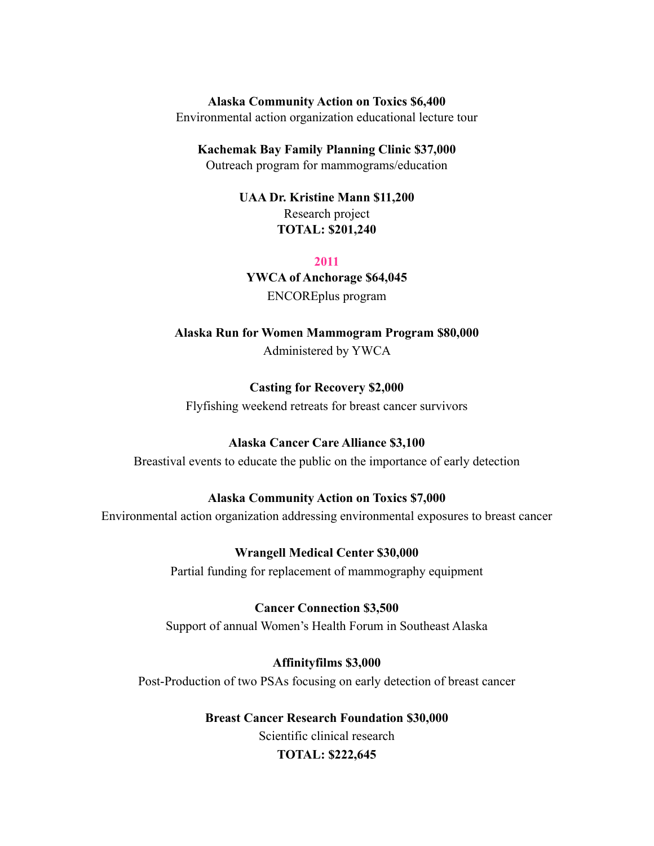#### **Alaska Community Action on Toxics \$6,400**

Environmental action organization educational lecture tour

#### **Kachemak Bay Family Planning Clinic \$37,000**

Outreach program for mammograms/education

# **UAA Dr. Kristine Mann \$11,200**  Research project **TOTAL: \$201,240**

#### **2011**

# **YWCA of Anchorage \$64,045**

ENCOREplus program

**Alaska Run for Women Mammogram Program \$80,000**  Administered by YWCA

# **Casting for Recovery \$2,000**

Flyfishing weekend retreats for breast cancer survivors

# **Alaska Cancer Care Alliance \$3,100**

Breastival events to educate the public on the importance of early detection

# **Alaska Community Action on Toxics \$7,000**

Environmental action organization addressing environmental exposures to breast cancer

**Wrangell Medical Center \$30,000** 

Partial funding for replacement of mammography equipment

# **Cancer Connection \$3,500**

Support of annual Women's Health Forum in Southeast Alaska

# **Affinityfilms \$3,000**

Post-Production of two PSAs focusing on early detection of breast cancer

# **Breast Cancer Research Foundation \$30,000**  Scientific clinical research **TOTAL: \$222,645**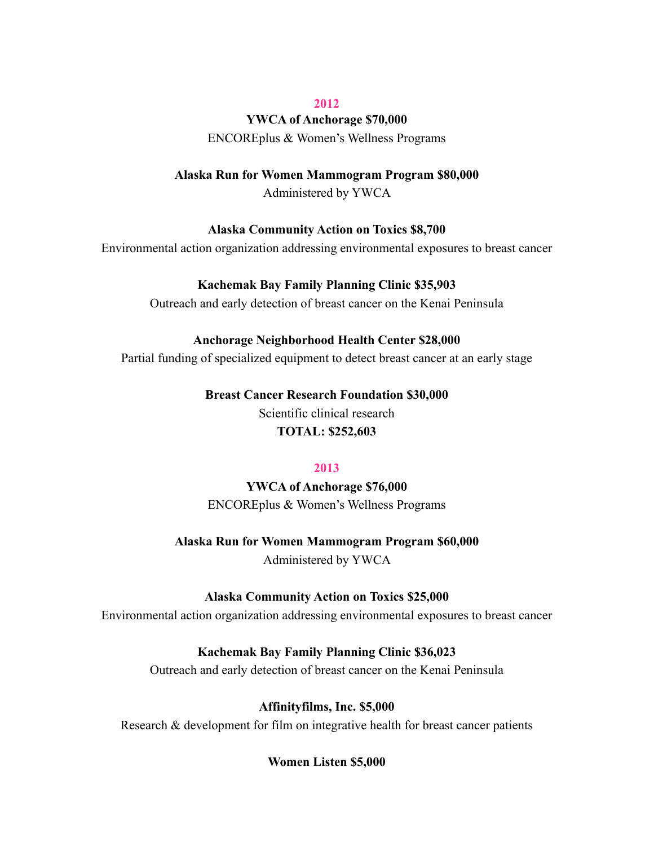#### **2012**

#### **YWCA of Anchorage \$70,000**

ENCOREplus & Women's Wellness Programs

#### **Alaska Run for Women Mammogram Program \$80,000**

Administered by YWCA

# **Alaska Community Action on Toxics \$8,700**

Environmental action organization addressing environmental exposures to breast cancer

# **Kachemak Bay Family Planning Clinic \$35,903**

Outreach and early detection of breast cancer on the Kenai Peninsula

# **Anchorage Neighborhood Health Center \$28,000**

Partial funding of specialized equipment to detect breast cancer at an early stage

# **Breast Cancer Research Foundation \$30,000**

Scientific clinical research **TOTAL: \$252,603** 

# **2013**

**YWCA of Anchorage \$76,000**  ENCOREplus & Women's Wellness Programs

# **Alaska Run for Women Mammogram Program \$60,000**

Administered by YWCA

# **Alaska Community Action on Toxics \$25,000**

Environmental action organization addressing environmental exposures to breast cancer

# **Kachemak Bay Family Planning Clinic \$36,023**

Outreach and early detection of breast cancer on the Kenai Peninsula

# **Affinityfilms, Inc. \$5,000**

Research & development for film on integrative health for breast cancer patients

# **Women Listen \$5,000**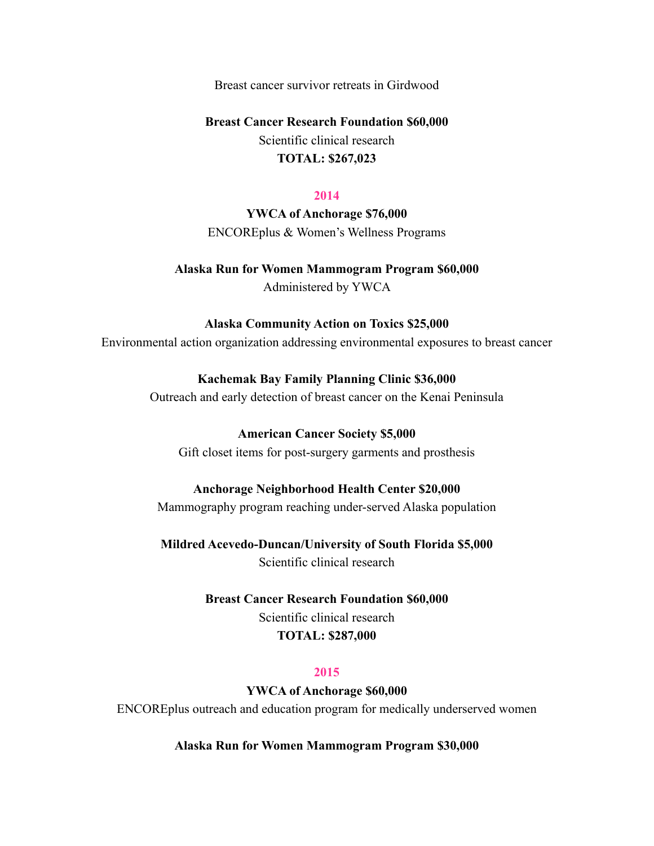Breast cancer survivor retreats in Girdwood

# **Breast Cancer Research Foundation \$60,000**

Scientific clinical research **TOTAL: \$267,023** 

#### **2014**

**YWCA of Anchorage \$76,000**  ENCOREplus & Women's Wellness Programs

# **Alaska Run for Women Mammogram Program \$60,000**  Administered by YWCA

# **Alaska Community Action on Toxics \$25,000**

Environmental action organization addressing environmental exposures to breast cancer

# **Kachemak Bay Family Planning Clinic \$36,000**

Outreach and early detection of breast cancer on the Kenai Peninsula

# **American Cancer Society \$5,000**

Gift closet items for post-surgery garments and prosthesis

# **Anchorage Neighborhood Health Center \$20,000**

Mammography program reaching under-served Alaska population

**Mildred Acevedo-Duncan/University of South Florida \$5,000**  Scientific clinical research

> **Breast Cancer Research Foundation \$60,000**  Scientific clinical research **TOTAL: \$287,000**

# **2015**

**YWCA of Anchorage \$60,000** 

ENCOREplus outreach and education program for medically underserved women

**Alaska Run for Women Mammogram Program \$30,000**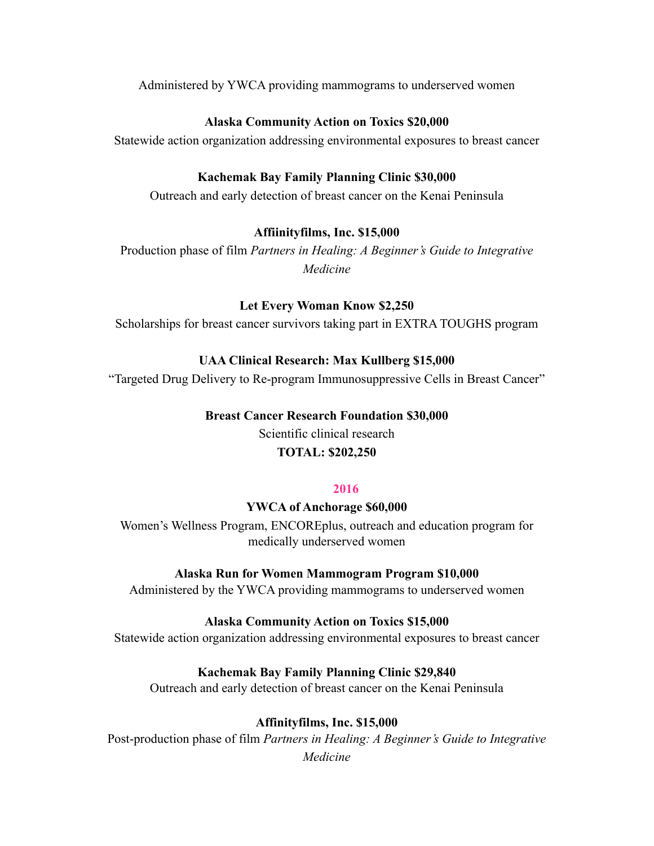Administered by YWCA providing mammograms to underserved women

# **Alaska Community Action on Toxics \$20,000**

Statewide action organization addressing environmental exposures to breast cancer

# **Kachemak Bay Family Planning Clinic \$30,000**

Outreach and early detection of breast cancer on the Kenai Peninsula

# **Affiinityfilms, Inc. \$15,000**

Production phase of film *Partners in Healing: A Beginner's Guide to Integrative Medicine* 

# **Let Every Woman Know \$2,250**

Scholarships for breast cancer survivors taking part in EXTRA TOUGHS program

# **UAA Clinical Research: Max Kullberg \$15,000**

"Targeted Drug Delivery to Re-program Immunosuppressive Cells in Breast Cancer"

# **Breast Cancer Research Foundation \$30,000**

Scientific clinical research **TOTAL: \$202,250** 

# **2016**

# **YWCA of Anchorage \$60,000**

Women's Wellness Program, ENCOREplus, outreach and education program for medically underserved women

# **Alaska Run for Women Mammogram Program \$10,000**

Administered by the YWCA providing mammograms to underserved women

# **Alaska Community Action on Toxics \$15,000**

Statewide action organization addressing environmental exposures to breast cancer

# **Kachemak Bay Family Planning Clinic \$29,840**

Outreach and early detection of breast cancer on the Kenai Peninsula

# **Affinityfilms, Inc. \$15,000**

Post-production phase of film *Partners in Healing: A Beginner's Guide to Integrative Medicine*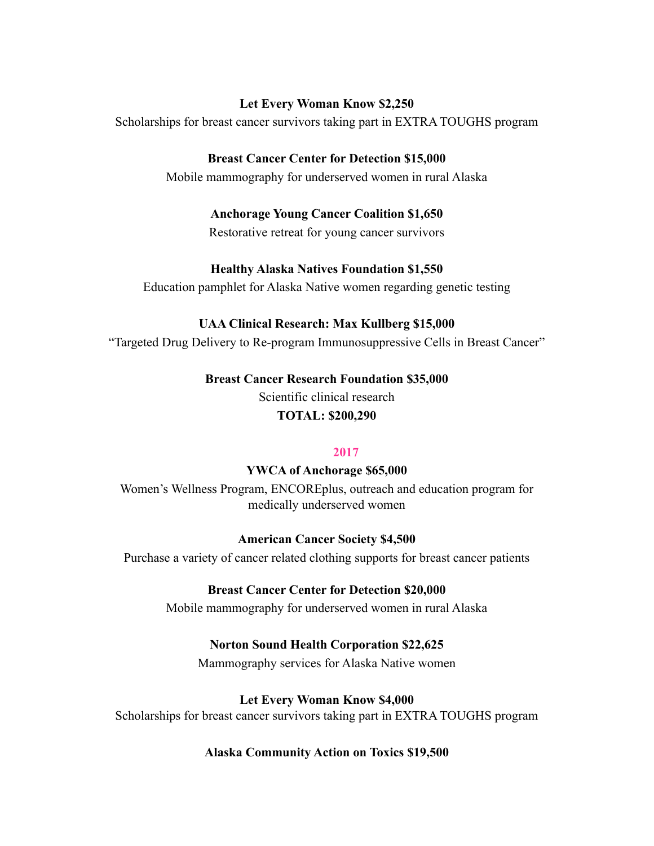# **Let Every Woman Know \$2,250**

Scholarships for breast cancer survivors taking part in EXTRA TOUGHS program

# **Breast Cancer Center for Detection \$15,000**

Mobile mammography for underserved women in rural Alaska

# **Anchorage Young Cancer Coalition \$1,650**

Restorative retreat for young cancer survivors

# **Healthy Alaska Natives Foundation \$1,550**

Education pamphlet for Alaska Native women regarding genetic testing

# **UAA Clinical Research: Max Kullberg \$15,000**

"Targeted Drug Delivery to Re-program Immunosuppressive Cells in Breast Cancer"

**Breast Cancer Research Foundation \$35,000**  Scientific clinical research

**TOTAL: \$200,290** 

# **2017**

**YWCA of Anchorage \$65,000** 

Women's Wellness Program, ENCOREplus, outreach and education program for medically underserved women

# **American Cancer Society \$4,500**

Purchase a variety of cancer related clothing supports for breast cancer patients

# **Breast Cancer Center for Detection \$20,000**

Mobile mammography for underserved women in rural Alaska

# **Norton Sound Health Corporation \$22,625**

Mammography services for Alaska Native women

# **Let Every Woman Know \$4,000**

Scholarships for breast cancer survivors taking part in EXTRA TOUGHS program

# **Alaska Community Action on Toxics \$19,500**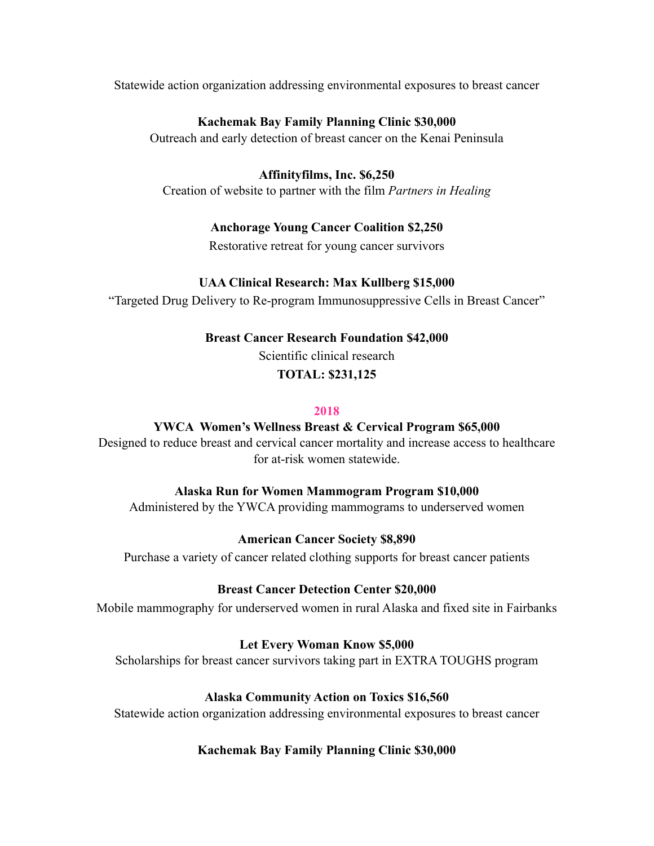Statewide action organization addressing environmental exposures to breast cancer

# **Kachemak Bay Family Planning Clinic \$30,000**

Outreach and early detection of breast cancer on the Kenai Peninsula

# **Affinityfilms, Inc. \$6,250**

Creation of website to partner with the film *Partners in Healing* 

# **Anchorage Young Cancer Coalition \$2,250**

Restorative retreat for young cancer survivors

# **UAA Clinical Research: Max Kullberg \$15,000**

"Targeted Drug Delivery to Re-program Immunosuppressive Cells in Breast Cancer"

# **Breast Cancer Research Foundation \$42,000**

Scientific clinical research

# **TOTAL: \$231,125**

# **2018**

# **YWCA Women's Wellness Breast & Cervical Program \$65,000**

Designed to reduce breast and cervical cancer mortality and increase access to healthcare for at-risk women statewide.

# **Alaska Run for Women Mammogram Program \$10,000**

Administered by the YWCA providing mammograms to underserved women

# **American Cancer Society \$8,890**

Purchase a variety of cancer related clothing supports for breast cancer patients

# **Breast Cancer Detection Center \$20,000**

Mobile mammography for underserved women in rural Alaska and fixed site in Fairbanks

# **Let Every Woman Know \$5,000**

Scholarships for breast cancer survivors taking part in EXTRA TOUGHS program

# **Alaska Community Action on Toxics \$16,560**

Statewide action organization addressing environmental exposures to breast cancer

# **Kachemak Bay Family Planning Clinic \$30,000**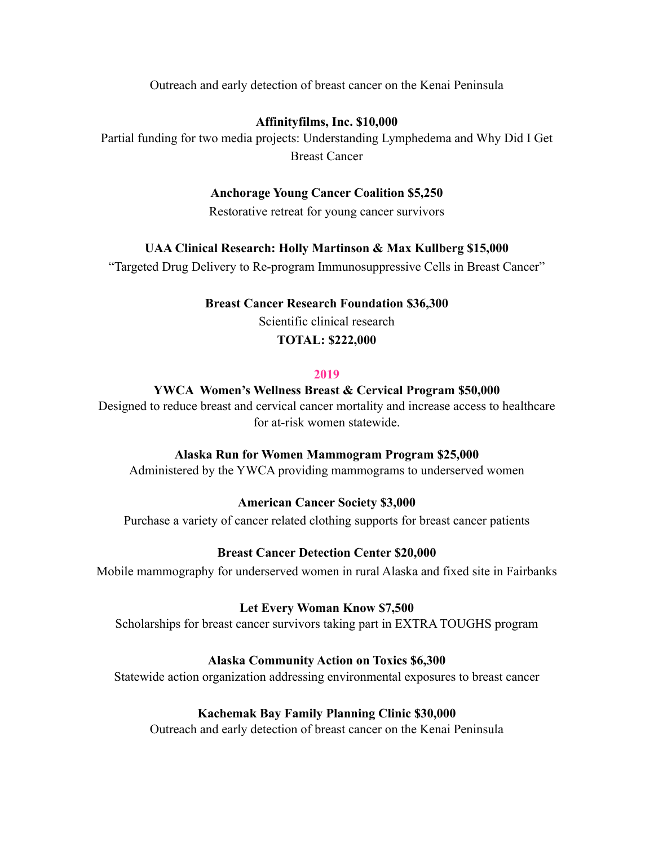Outreach and early detection of breast cancer on the Kenai Peninsula

# **Affinityfilms, Inc. \$10,000**

Partial funding for two media projects: Understanding Lymphedema and Why Did I Get Breast Cancer

# **Anchorage Young Cancer Coalition \$5,250**

Restorative retreat for young cancer survivors

# **UAA Clinical Research: Holly Martinson & Max Kullberg \$15,000**

"Targeted Drug Delivery to Re-program Immunosuppressive Cells in Breast Cancer"

# **Breast Cancer Research Foundation \$36,300**

Scientific clinical research

# **TOTAL: \$222,000**

# **2019**

# **YWCA Women's Wellness Breast & Cervical Program \$50,000**

Designed to reduce breast and cervical cancer mortality and increase access to healthcare for at-risk women statewide.

# **Alaska Run for Women Mammogram Program \$25,000**

Administered by the YWCA providing mammograms to underserved women

# **American Cancer Society \$3,000**

Purchase a variety of cancer related clothing supports for breast cancer patients

# **Breast Cancer Detection Center \$20,000**

Mobile mammography for underserved women in rural Alaska and fixed site in Fairbanks

# **Let Every Woman Know \$7,500**

Scholarships for breast cancer survivors taking part in EXTRA TOUGHS program

# **Alaska Community Action on Toxics \$6,300**

Statewide action organization addressing environmental exposures to breast cancer

# **Kachemak Bay Family Planning Clinic \$30,000**

Outreach and early detection of breast cancer on the Kenai Peninsula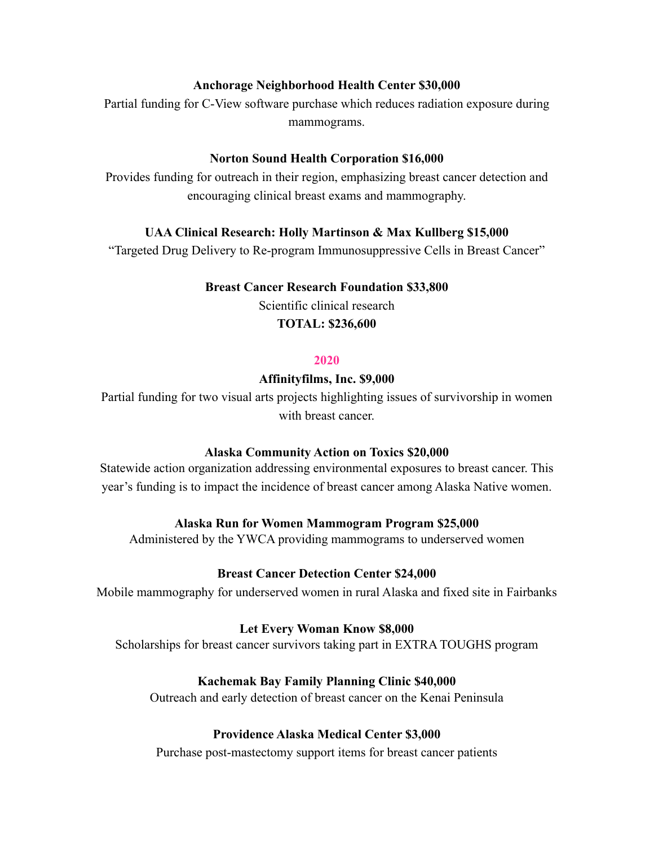# **Anchorage Neighborhood Health Center \$30,000**

Partial funding for C-View software purchase which reduces radiation exposure during mammograms.

# **Norton Sound Health Corporation \$16,000**

Provides funding for outreach in their region, emphasizing breast cancer detection and encouraging clinical breast exams and mammography.

# **UAA Clinical Research: Holly Martinson & Max Kullberg \$15,000**

"Targeted Drug Delivery to Re-program Immunosuppressive Cells in Breast Cancer"

#### **Breast Cancer Research Foundation \$33,800**

Scientific clinical research

# **TOTAL: \$236,600**

# **2020**

#### **Affinityfilms, Inc. \$9,000**

Partial funding for two visual arts projects highlighting issues of survivorship in women with breast cancer.

# **Alaska Community Action on Toxics \$20,000**

Statewide action organization addressing environmental exposures to breast cancer. This year's funding is to impact the incidence of breast cancer among Alaska Native women.

# **Alaska Run for Women Mammogram Program \$25,000**

Administered by the YWCA providing mammograms to underserved women

# **Breast Cancer Detection Center \$24,000**

Mobile mammography for underserved women in rural Alaska and fixed site in Fairbanks

# **Let Every Woman Know \$8,000**

Scholarships for breast cancer survivors taking part in EXTRA TOUGHS program

# **Kachemak Bay Family Planning Clinic \$40,000**

Outreach and early detection of breast cancer on the Kenai Peninsula

# **Providence Alaska Medical Center \$3,000**

Purchase post-mastectomy support items for breast cancer patients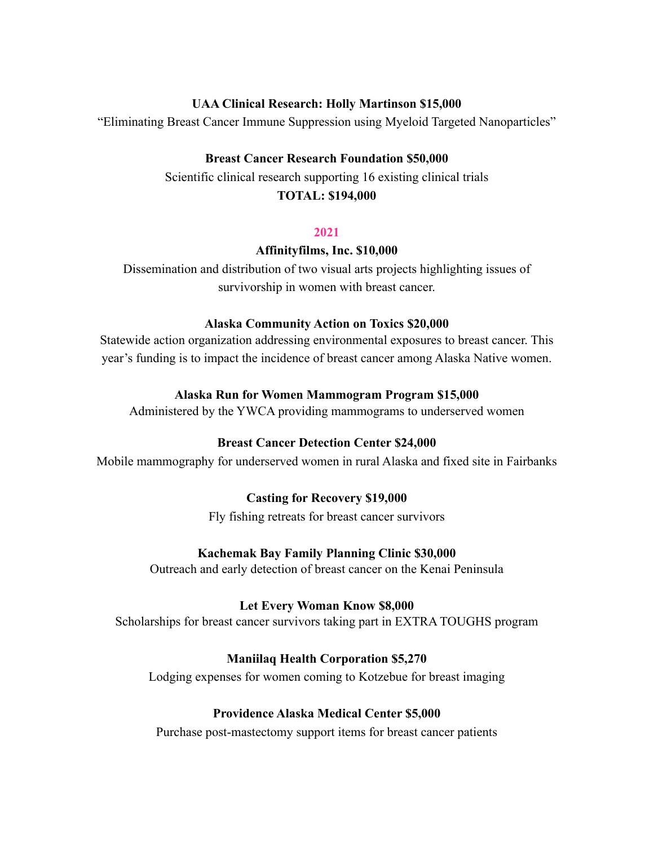# **UAA Clinical Research: Holly Martinson \$15,000**

"Eliminating Breast Cancer Immune Suppression using Myeloid Targeted Nanoparticles"

# **Breast Cancer Research Foundation \$50,000**

Scientific clinical research supporting 16 existing clinical trials

# **TOTAL: \$194,000**

# **2021**

# **Affinityfilms, Inc. \$10,000**

Dissemination and distribution of two visual arts projects highlighting issues of survivorship in women with breast cancer.

# **Alaska Community Action on Toxics \$20,000**

Statewide action organization addressing environmental exposures to breast cancer. This year's funding is to impact the incidence of breast cancer among Alaska Native women.

# **Alaska Run for Women Mammogram Program \$15,000**

Administered by the YWCA providing mammograms to underserved women

# **Breast Cancer Detection Center \$24,000**

Mobile mammography for underserved women in rural Alaska and fixed site in Fairbanks

# **Casting for Recovery \$19,000**

Fly fishing retreats for breast cancer survivors

# **Kachemak Bay Family Planning Clinic \$30,000**

Outreach and early detection of breast cancer on the Kenai Peninsula

# **Let Every Woman Know \$8,000**

Scholarships for breast cancer survivors taking part in EXTRA TOUGHS program

# **Maniilaq Health Corporation \$5,270**

Lodging expenses for women coming to Kotzebue for breast imaging

# **Providence Alaska Medical Center \$5,000**

Purchase post-mastectomy support items for breast cancer patients